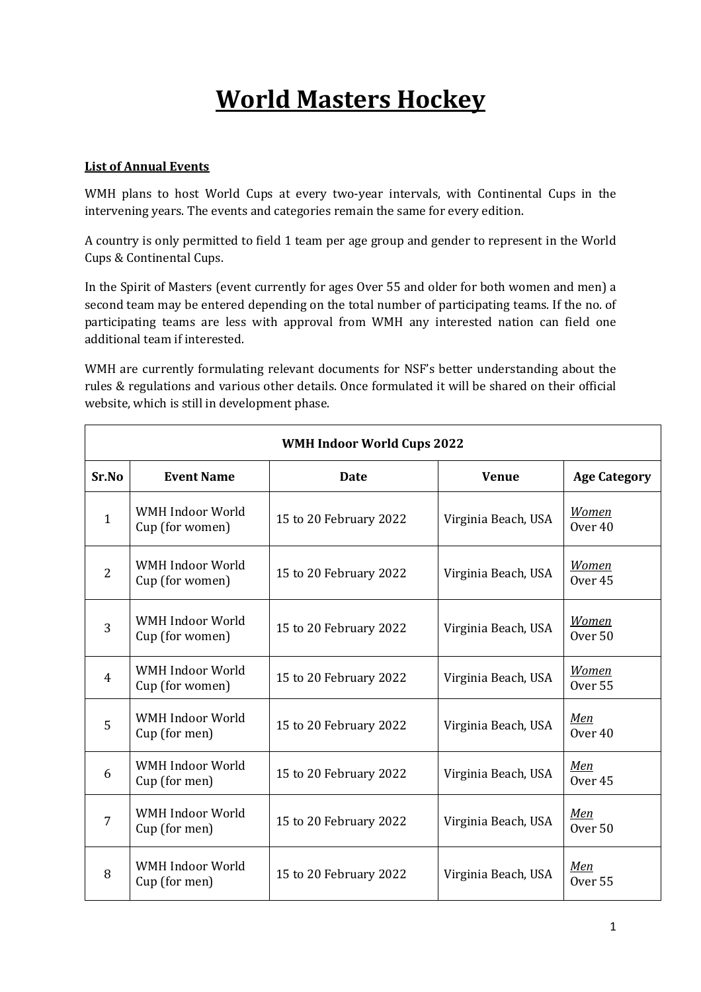## **World Masters Hockey**

## **List of Annual Events**

WMH plans to host World Cups at every two-year intervals, with Continental Cups in the intervening years. The events and categories remain the same for every edition.

A country is only permitted to field 1 team per age group and gender to represent in the World Cups & Continental Cups.

In the Spirit of Masters (event currently for ages Over 55 and older for both women and men) a second team may be entered depending on the total number of participating teams. If the no. of participating teams are less with approval from WMH any interested nation can field one additional team if interested.

WMH are currently formulating relevant documents for NSF's better understanding about the rules & regulations and various other details. Once formulated it will be shared on their official website, which is still in development phase.

| <b>WMH Indoor World Cups 2022</b> |                                     |                        |                     |                                    |
|-----------------------------------|-------------------------------------|------------------------|---------------------|------------------------------------|
| Sr.No                             | <b>Event Name</b>                   | <b>Date</b>            | <b>Venue</b>        | <b>Age Category</b>                |
| $\mathbf{1}$                      | WMH Indoor World<br>Cup (for women) | 15 to 20 February 2022 | Virginia Beach, USA | <b>Women</b><br>Over <sub>40</sub> |
| $\overline{2}$                    | WMH Indoor World<br>Cup (for women) | 15 to 20 February 2022 | Virginia Beach, USA | <b>Women</b><br>Over 45            |
| 3                                 | WMH Indoor World<br>Cup (for women) | 15 to 20 February 2022 | Virginia Beach, USA | <b>Women</b><br>Over <sub>50</sub> |
| 4                                 | WMH Indoor World<br>Cup (for women) | 15 to 20 February 2022 | Virginia Beach, USA | <b>Women</b><br>Over <sub>55</sub> |
| 5                                 | WMH Indoor World<br>Cup (for men)   | 15 to 20 February 2022 | Virginia Beach, USA | Men<br>Over <sub>40</sub>          |
| 6                                 | WMH Indoor World<br>Cup (for men)   | 15 to 20 February 2022 | Virginia Beach, USA | Men<br>Over <sub>45</sub>          |
| 7                                 | WMH Indoor World<br>Cup (for men)   | 15 to 20 February 2022 | Virginia Beach, USA | Men<br>Over <sub>50</sub>          |
| 8                                 | WMH Indoor World<br>Cup (for men)   | 15 to 20 February 2022 | Virginia Beach, USA | Men<br>Over <sub>55</sub>          |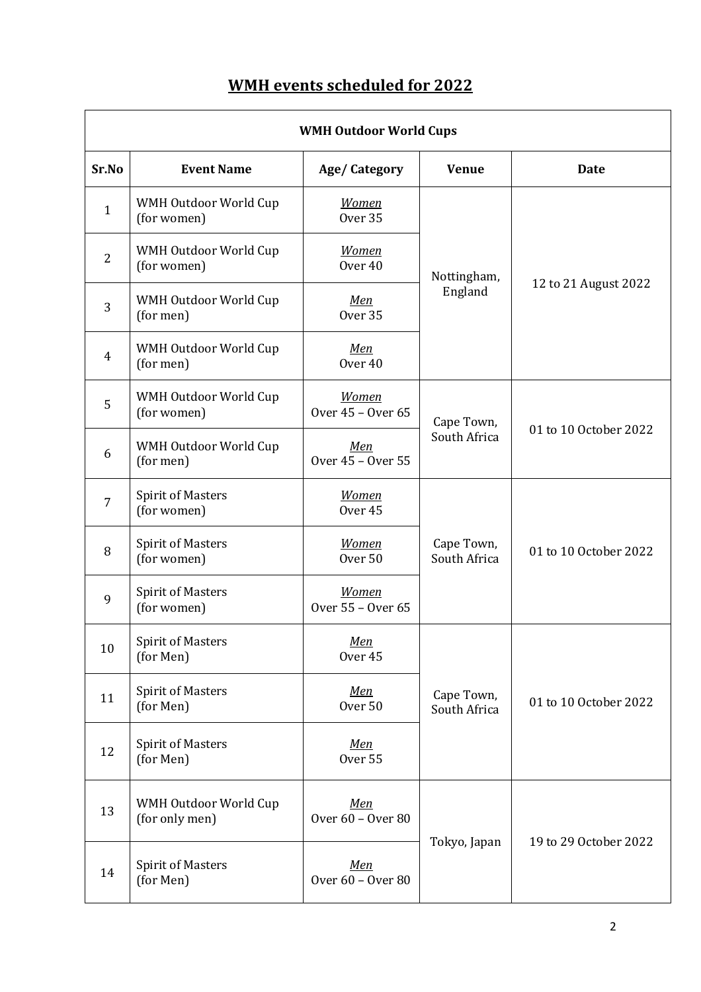## **WMH** events scheduled for 2022

| <b>WMH Outdoor World Cups</b> |                                         |                                    |                            |                       |
|-------------------------------|-----------------------------------------|------------------------------------|----------------------------|-----------------------|
| Sr.No                         | <b>Event Name</b>                       | Age/Category                       | <b>Venue</b>               | Date                  |
| $\mathbf{1}$                  | WMH Outdoor World Cup<br>(for women)    | <b>Women</b><br>Over <sub>35</sub> |                            | 12 to 21 August 2022  |
| $\overline{2}$                | WMH Outdoor World Cup<br>(for women)    | <b>Women</b><br>Over <sub>40</sub> | Nottingham,<br>England     |                       |
| 3                             | WMH Outdoor World Cup<br>(for men)      | Men<br>Over <sub>35</sub>          |                            |                       |
| $\overline{4}$                | WMH Outdoor World Cup<br>(for men)      | <u>Men</u><br>Over <sub>40</sub>   |                            |                       |
| 5                             | WMH Outdoor World Cup<br>(for women)    | <b>Women</b><br>Over 45 - Over 65  | Cape Town,                 | 01 to 10 October 2022 |
| 6                             | WMH Outdoor World Cup<br>(for men)      | Men<br>Over 45 - Over 55           | South Africa               |                       |
| $\overline{7}$                | <b>Spirit of Masters</b><br>(for women) | <b>Women</b><br>Over <sub>45</sub> | Cape Town,<br>South Africa | 01 to 10 October 2022 |
| 8                             | <b>Spirit of Masters</b><br>(for women) | <b>Women</b><br>Over <sub>50</sub> |                            |                       |
| 9                             | <b>Spirit of Masters</b><br>(for women) | <b>Women</b><br>Over 55 - Over 65  |                            |                       |
| 10                            | <b>Spirit of Masters</b><br>(for Men)   | Men<br>Over 45                     |                            | 01 to 10 October 2022 |
| 11                            | <b>Spirit of Masters</b><br>(for Men)   | <u>Men</u><br>Over <sub>50</sub>   | Cape Town,<br>South Africa |                       |
| 12                            | <b>Spirit of Masters</b><br>(for Men)   | <u>Men</u><br>Over 55              |                            |                       |
| 13                            | WMH Outdoor World Cup<br>(for only men) | Men<br>Over 60 - Over 80           |                            |                       |
| 14                            | <b>Spirit of Masters</b><br>(for Men)   | Men<br>Over 60 - Over 80           | Tokyo, Japan               | 19 to 29 October 2022 |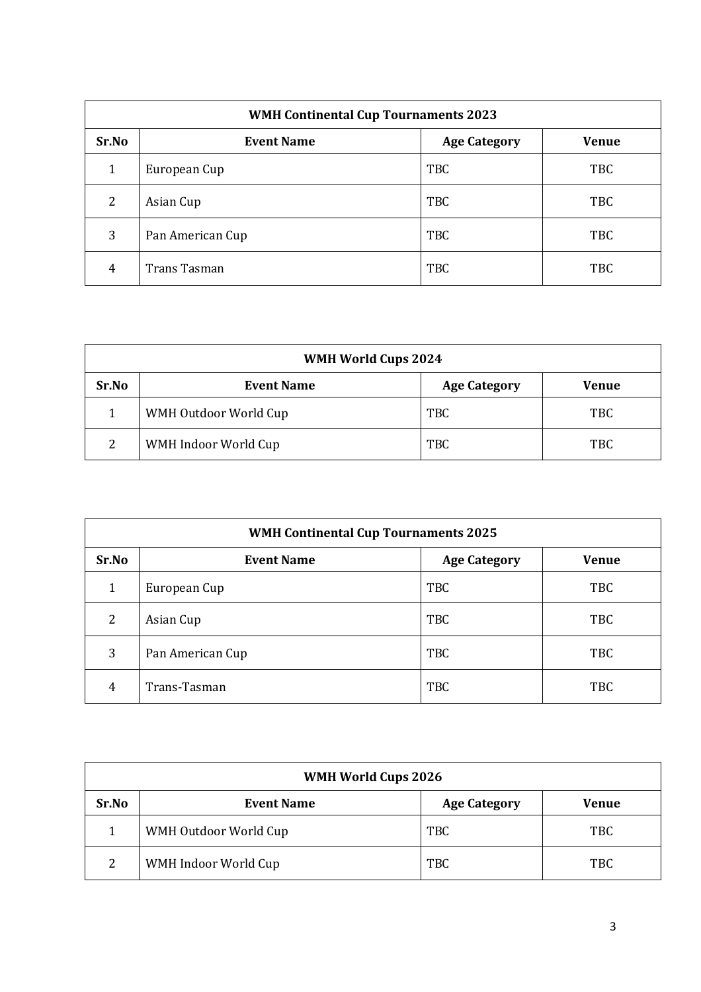| <b>WMH Continental Cup Tournaments 2023</b> |                   |                     |              |
|---------------------------------------------|-------------------|---------------------|--------------|
| Sr.No                                       | <b>Event Name</b> | <b>Age Category</b> | <b>Venue</b> |
| 1                                           | European Cup      | TBC                 | <b>TBC</b>   |
| 2                                           | Asian Cup         | TBC                 | <b>TBC</b>   |
| 3                                           | Pan American Cup  | TBC                 | <b>TBC</b>   |
| 4                                           | Trans Tasman      | TBC                 | <b>TBC</b>   |

| <b>WMH World Cups 2024</b> |                       |                     |            |
|----------------------------|-----------------------|---------------------|------------|
| Sr.No                      | <b>Event Name</b>     | <b>Age Category</b> | Venue      |
|                            | WMH Outdoor World Cup | TBC                 | <b>TBC</b> |
| 2                          | WMH Indoor World Cup  | TBC                 | <b>TBC</b> |

| <b>WMH Continental Cup Tournaments 2025</b> |                   |                     |              |  |
|---------------------------------------------|-------------------|---------------------|--------------|--|
| Sr.No                                       | <b>Event Name</b> | <b>Age Category</b> | <b>Venue</b> |  |
|                                             | European Cup      | TBC                 | <b>TBC</b>   |  |
| 2                                           | Asian Cup         | TBC                 | <b>TBC</b>   |  |
| 3                                           | Pan American Cup  | <b>TBC</b>          | <b>TBC</b>   |  |
| 4                                           | Trans-Tasman      | TBC                 | <b>TBC</b>   |  |

| <b>WMH World Cups 2026</b> |                       |                     |              |
|----------------------------|-----------------------|---------------------|--------------|
| Sr.No                      | <b>Event Name</b>     | <b>Age Category</b> | <b>Venue</b> |
|                            | WMH Outdoor World Cup | TBC                 | <b>TBC</b>   |
| $\mathcal{P}$              | WMH Indoor World Cup  | TBC                 | <b>TBC</b>   |